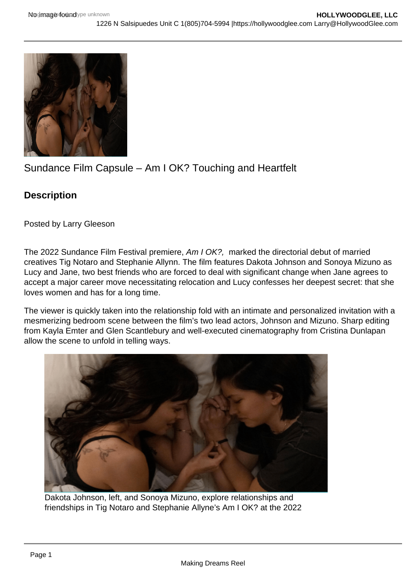## Sundance Film Capsule – Am I OK? Touching and Heartfelt

**Description** 

Posted by Larry Gleeson

The 2022 Sundance Film Festival premiere, Am I OK?, marked the directorial debut of married creatives Tig Notaro and Stephanie Allynn. The film features Dakota Johnson and Sonoya Mizuno as Lucy and Jane, two best friends who are forced to deal with significant change when Jane agrees to accept a major career move necessitating relocation and Lucy confesses her deepest secret: that she loves women and has for a long time.

The viewer is quickly taken into the relationship fold with an intimate and personalized invitation with a mesmerizing bedroom scene between the film's two lead actors, Johnson and Mizuno. Sharp editing from Kayla Emter and Glen Scantlebury and well-executed cinematography from Cristina Dunlapan allow the scene to unfold in telling ways.

Dakota Johnson, left, and Sonoya Mizuno, explore relationships and friendships in Tig Notaro and Stephanie Allyne's Am I OK? at the 2022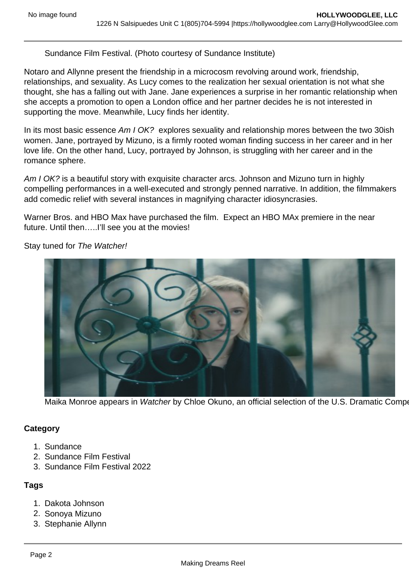Sundance Film Festival. (Photo courtesy of Sundance Institute)

Notaro and Allynne present the friendship in a microcosm revolving around work, friendship, relationships, and sexuality. As Lucy comes to the realization her sexual orientation is not what she thought, she has a falling out with Jane. Jane experiences a surprise in her romantic relationship when she accepts a promotion to open a London office and her partner decides he is not interested in supporting the move. Meanwhile, Lucy finds her identity.

In its most basic essence Am I OK? explores sexuality and relationship mores between the two 30ish women. Jane, portrayed by Mizuno, is a firmly rooted woman finding success in her career and in her love life. On the other hand, Lucy, portrayed by Johnson, is struggling with her career and in the romance sphere.

Am I OK? is a beautiful story with exquisite character arcs. Johnson and Mizuno turn in highly compelling performances in a well-executed and strongly penned narrative. In addition, the filmmakers add comedic relief with several instances in magnifying character idiosyncrasies.

Warner Bros. and HBO Max have purchased the film. Expect an HBO MAx premiere in the near future. Until then.....I'll see you at the movies!

Stay tuned for The Watcher!

Maika Monroe appears in Watcher by Chloe Okuno, an official selection of the U.S. Dramatic Competition at the

**Category** 

- 1. Sundance
- 2. Sundance Film Festival
- 3. Sundance Film Festival 2022

## Tags

- 1. Dakota Johnson
- 2. Sonoya Mizuno
- 3. Stephanie Allynn